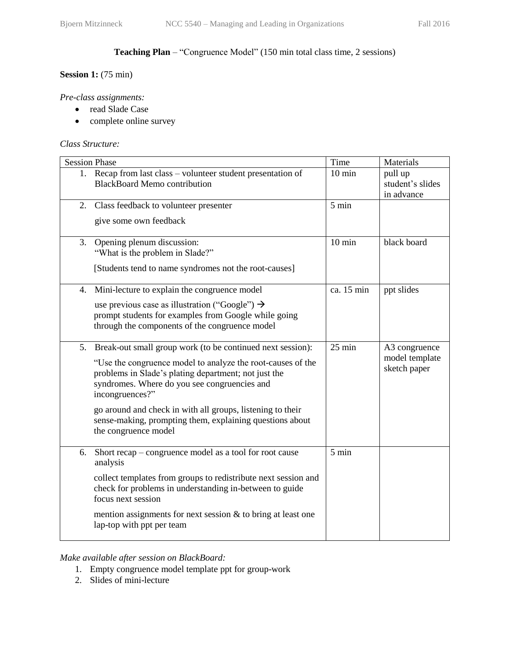# **Teaching Plan** – "Congruence Model" (150 min total class time, 2 sessions)

#### **Session 1:** (75 min)

#### *Pre-class assignments:*

- read Slade Case
- complete online survey

#### *Class Structure:*

| <b>Session Phase</b>                                                                                                                                                                                                                                                                                                                                                                                         | Time             | Materials                                       |
|--------------------------------------------------------------------------------------------------------------------------------------------------------------------------------------------------------------------------------------------------------------------------------------------------------------------------------------------------------------------------------------------------------------|------------------|-------------------------------------------------|
| Recap from last class – volunteer student presentation of<br>1.<br><b>BlackBoard Memo contribution</b>                                                                                                                                                                                                                                                                                                       | $10 \text{ min}$ | pull up<br>student's slides<br>in advance       |
| 2.<br>Class feedback to volunteer presenter                                                                                                                                                                                                                                                                                                                                                                  | $5 \text{ min}$  |                                                 |
| give some own feedback                                                                                                                                                                                                                                                                                                                                                                                       |                  |                                                 |
| 3.<br>Opening plenum discussion:<br>"What is the problem in Slade?"<br>[Students tend to name syndromes not the root-causes]                                                                                                                                                                                                                                                                                 | $10 \text{ min}$ | black board                                     |
| Mini-lecture to explain the congruence model<br>4.                                                                                                                                                                                                                                                                                                                                                           | ca. 15 min       | ppt slides                                      |
| use previous case as illustration ("Google") $\rightarrow$<br>prompt students for examples from Google while going<br>through the components of the congruence model                                                                                                                                                                                                                                         |                  |                                                 |
| Break-out small group work (to be continued next session):<br>5.<br>"Use the congruence model to analyze the root-causes of the<br>problems in Slade's plating department; not just the<br>syndromes. Where do you see congruencies and<br>incongruences?"<br>go around and check in with all groups, listening to their<br>sense-making, prompting them, explaining questions about<br>the congruence model | $25 \text{ min}$ | A3 congruence<br>model template<br>sketch paper |
| Short recap – congruence model as a tool for root cause<br>6.<br>analysis<br>collect templates from groups to redistribute next session and<br>check for problems in understanding in-between to guide<br>focus next session<br>mention assignments for next session $\&$ to bring at least one<br>lap-top with ppt per team                                                                                 | $5 \text{ min}$  |                                                 |

*Make available after session on BlackBoard:* 

- 1. Empty congruence model template ppt for group-work
- 2. Slides of mini-lecture